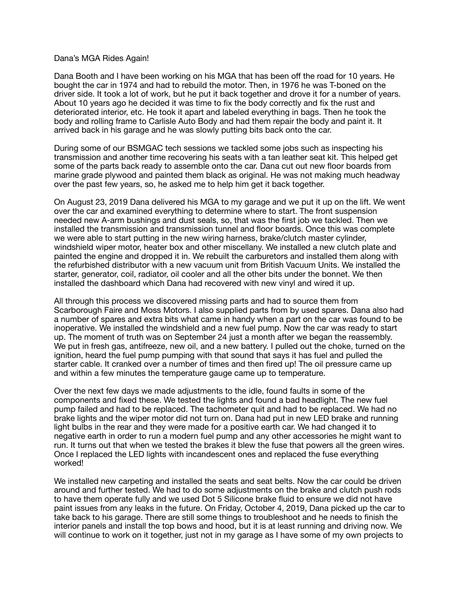## Dana's MGA Rides Again!

Dana Booth and I have been working on his MGA that has been off the road for 10 years. He bought the car in 1974 and had to rebuild the motor. Then, in 1976 he was T-boned on the driver side. It took a lot of work, but he put it back together and drove it for a number of years. About 10 years ago he decided it was time to fix the body correctly and fix the rust and deteriorated interior, etc. He took it apart and labeled everything in bags. Then he took the body and rolling frame to Carlisle Auto Body and had them repair the body and paint it. It arrived back in his garage and he was slowly putting bits back onto the car.

During some of our BSMGAC tech sessions we tackled some jobs such as inspecting his transmission and another time recovering his seats with a tan leather seat kit. This helped get some of the parts back ready to assemble onto the car. Dana cut out new floor boards from marine grade plywood and painted them black as original. He was not making much headway over the past few years, so, he asked me to help him get it back together.

On August 23, 2019 Dana delivered his MGA to my garage and we put it up on the lift. We went over the car and examined everything to determine where to start. The front suspension needed new A-arm bushings and dust seals, so, that was the first job we tackled. Then we installed the transmission and transmission tunnel and floor boards. Once this was complete we were able to start putting in the new wiring harness, brake/clutch master cylinder, windshield wiper motor, heater box and other miscellany. We installed a new clutch plate and painted the engine and dropped it in. We rebuilt the carburetors and installed them along with the refurbished distributor with a new vacuum unit from British Vacuum Units. We installed the starter, generator, coil, radiator, oil cooler and all the other bits under the bonnet. We then installed the dashboard which Dana had recovered with new vinyl and wired it up.

All through this process we discovered missing parts and had to source them from Scarborough Faire and Moss Motors. I also supplied parts from by used spares. Dana also had a number of spares and extra bits what came in handy when a part on the car was found to be inoperative. We installed the windshield and a new fuel pump. Now the car was ready to start up. The moment of truth was on September 24 just a month after we began the reassembly. We put in fresh gas, antifreeze, new oil, and a new battery. I pulled out the choke, turned on the ignition, heard the fuel pump pumping with that sound that says it has fuel and pulled the starter cable. It cranked over a number of times and then fired up! The oil pressure came up and within a few minutes the temperature gauge came up to temperature.

Over the next few days we made adjustments to the idle, found faults in some of the components and fixed these. We tested the lights and found a bad headlight. The new fuel pump failed and had to be replaced. The tachometer quit and had to be replaced. We had no brake lights and the wiper motor did not turn on. Dana had put in new LED brake and running light bulbs in the rear and they were made for a positive earth car. We had changed it to negative earth in order to run a modern fuel pump and any other accessories he might want to run. It turns out that when we tested the brakes it blew the fuse that powers all the green wires. Once I replaced the LED lights with incandescent ones and replaced the fuse everything worked!

We installed new carpeting and installed the seats and seat belts. Now the car could be driven around and further tested. We had to do some adjustments on the brake and clutch push rods to have them operate fully and we used Dot 5 Silicone brake fluid to ensure we did not have paint issues from any leaks in the future. On Friday, October 4, 2019, Dana picked up the car to take back to his garage. There are still some things to troubleshoot and he needs to finish the interior panels and install the top bows and hood, but it is at least running and driving now. We will continue to work on it together, just not in my garage as I have some of my own projects to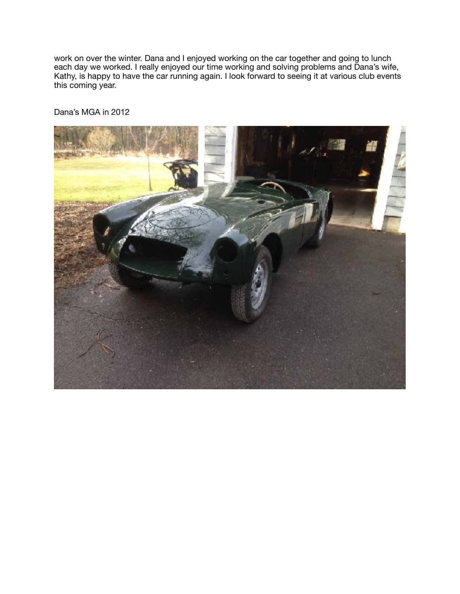work on over the winter. Dana and I enjoyed working on the car together and going to lunch each day we worked. I really enjoyed our time working and solving problems and Dana's wife, Kathy, is happy to have the car running again. I look forward to seeing it at various club events this coming year.

Dana's MGA in 2012

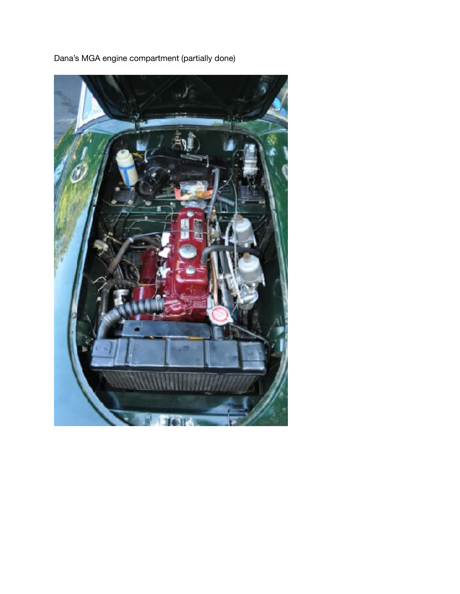

Dana's MGA engine compartment (partially done)